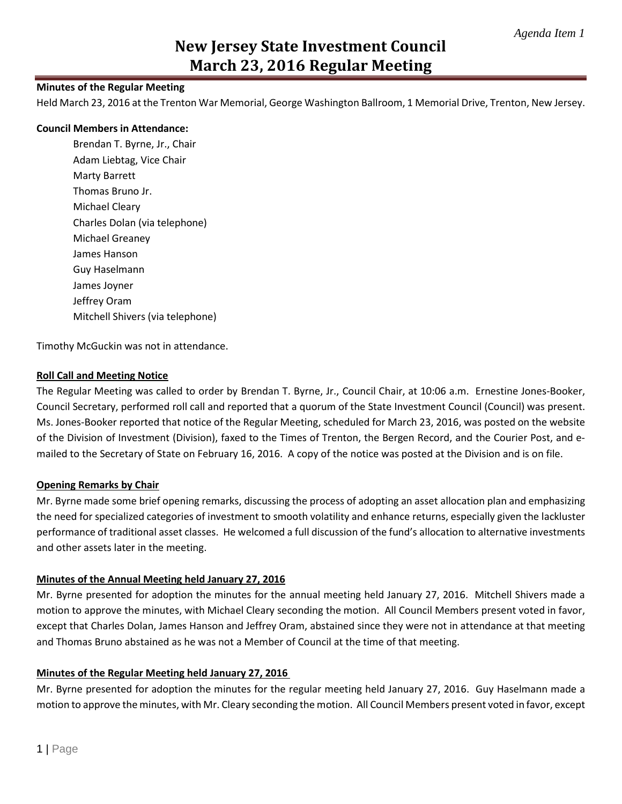## **Minutes of the Regular Meeting**

Held March 23, 2016 at the Trenton War Memorial, George Washington Ballroom, 1 Memorial Drive, Trenton, New Jersey.

#### **Council Members in Attendance:**

Brendan T. Byrne, Jr., Chair Adam Liebtag, Vice Chair Marty Barrett Thomas Bruno Jr. Michael Cleary Charles Dolan (via telephone) Michael Greaney James Hanson Guy Haselmann James Joyner Jeffrey Oram Mitchell Shivers (via telephone)

Timothy McGuckin was not in attendance.

## **Roll Call and Meeting Notice**

The Regular Meeting was called to order by Brendan T. Byrne, Jr., Council Chair, at 10:06 a.m. Ernestine Jones-Booker, Council Secretary, performed roll call and reported that a quorum of the State Investment Council (Council) was present. Ms. Jones-Booker reported that notice of the Regular Meeting, scheduled for March 23, 2016, was posted on the website of the Division of Investment (Division), faxed to the Times of Trenton, the Bergen Record, and the Courier Post, and emailed to the Secretary of State on February 16, 2016. A copy of the notice was posted at the Division and is on file.

## **Opening Remarks by Chair**

Mr. Byrne made some brief opening remarks, discussing the process of adopting an asset allocation plan and emphasizing the need for specialized categories of investment to smooth volatility and enhance returns, especially given the lackluster performance of traditional asset classes. He welcomed a full discussion of the fund's allocation to alternative investments and other assets later in the meeting.

## **Minutes of the Annual Meeting held January 27, 2016**

Mr. Byrne presented for adoption the minutes for the annual meeting held January 27, 2016. Mitchell Shivers made a motion to approve the minutes, with Michael Cleary seconding the motion. All Council Members present voted in favor, except that Charles Dolan, James Hanson and Jeffrey Oram, abstained since they were not in attendance at that meeting and Thomas Bruno abstained as he was not a Member of Council at the time of that meeting.

## **Minutes of the Regular Meeting held January 27, 2016**

Mr. Byrne presented for adoption the minutes for the regular meeting held January 27, 2016. Guy Haselmann made a motion to approve the minutes, with Mr. Cleary seconding the motion. All Council Members present voted in favor, except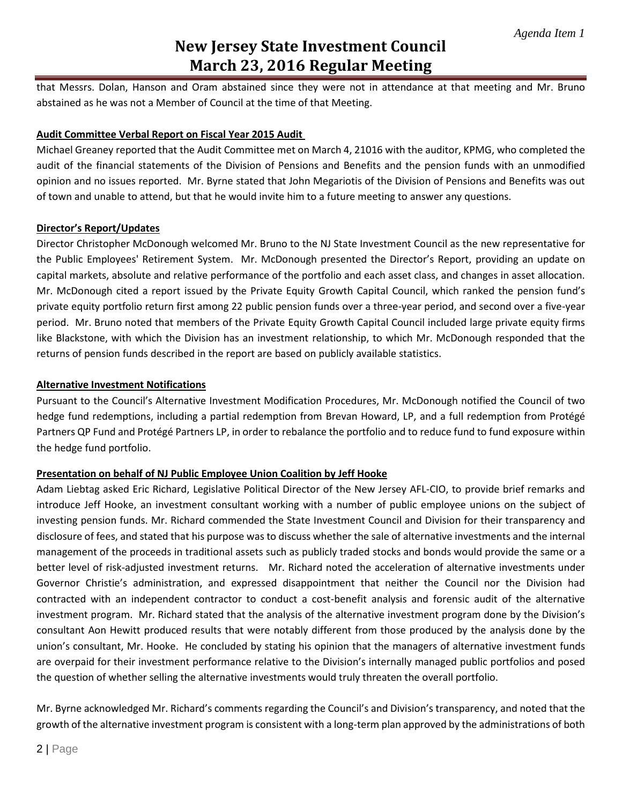that Messrs. Dolan, Hanson and Oram abstained since they were not in attendance at that meeting and Mr. Bruno abstained as he was not a Member of Council at the time of that Meeting.

## **Audit Committee Verbal Report on Fiscal Year 2015 Audit**

Michael Greaney reported that the Audit Committee met on March 4, 21016 with the auditor, KPMG, who completed the audit of the financial statements of the Division of Pensions and Benefits and the pension funds with an unmodified opinion and no issues reported. Mr. Byrne stated that John Megariotis of the Division of Pensions and Benefits was out of town and unable to attend, but that he would invite him to a future meeting to answer any questions.

## **Director's Report/Updates**

Director Christopher McDonough welcomed Mr. Bruno to the NJ State Investment Council as the new representative for the Public Employees' Retirement System. Mr. McDonough presented the Director's Report, providing an update on capital markets, absolute and relative performance of the portfolio and each asset class, and changes in asset allocation. Mr. McDonough cited a report issued by the Private Equity Growth Capital Council, which ranked the pension fund's private equity portfolio return first among 22 public pension funds over a three-year period, and second over a five-year period. Mr. Bruno noted that members of the Private Equity Growth Capital Council included large private equity firms like Blackstone, with which the Division has an investment relationship, to which Mr. McDonough responded that the returns of pension funds described in the report are based on publicly available statistics.

## **Alternative Investment Notifications**

Pursuant to the Council's Alternative Investment Modification Procedures, Mr. McDonough notified the Council of two hedge fund redemptions, including a partial redemption from Brevan Howard, LP, and a full redemption from Protégé Partners QP Fund and Protégé Partners LP, in order to rebalance the portfolio and to reduce fund to fund exposure within the hedge fund portfolio.

## **Presentation on behalf of NJ Public Employee Union Coalition by Jeff Hooke**

Adam Liebtag asked Eric Richard, Legislative Political Director of the New Jersey AFL-CIO, to provide brief remarks and introduce Jeff Hooke, an investment consultant working with a number of public employee unions on the subject of investing pension funds. Mr. Richard commended the State Investment Council and Division for their transparency and disclosure of fees, and stated that his purpose was to discuss whether the sale of alternative investments and the internal management of the proceeds in traditional assets such as publicly traded stocks and bonds would provide the same or a better level of risk-adjusted investment returns. Mr. Richard noted the acceleration of alternative investments under Governor Christie's administration, and expressed disappointment that neither the Council nor the Division had contracted with an independent contractor to conduct a cost-benefit analysis and forensic audit of the alternative investment program. Mr. Richard stated that the analysis of the alternative investment program done by the Division's consultant Aon Hewitt produced results that were notably different from those produced by the analysis done by the union's consultant, Mr. Hooke. He concluded by stating his opinion that the managers of alternative investment funds are overpaid for their investment performance relative to the Division's internally managed public portfolios and posed the question of whether selling the alternative investments would truly threaten the overall portfolio.

Mr. Byrne acknowledged Mr. Richard's comments regarding the Council's and Division's transparency, and noted that the growth of the alternative investment program is consistent with a long-term plan approved by the administrations of both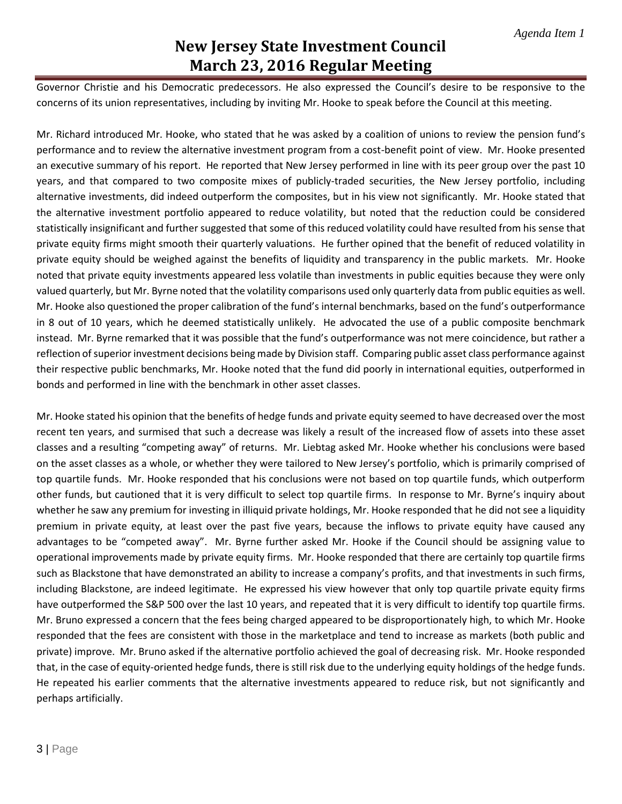Governor Christie and his Democratic predecessors. He also expressed the Council's desire to be responsive to the concerns of its union representatives, including by inviting Mr. Hooke to speak before the Council at this meeting.

Mr. Richard introduced Mr. Hooke, who stated that he was asked by a coalition of unions to review the pension fund's performance and to review the alternative investment program from a cost-benefit point of view. Mr. Hooke presented an executive summary of his report. He reported that New Jersey performed in line with its peer group over the past 10 years, and that compared to two composite mixes of publicly-traded securities, the New Jersey portfolio, including alternative investments, did indeed outperform the composites, but in his view not significantly. Mr. Hooke stated that the alternative investment portfolio appeared to reduce volatility, but noted that the reduction could be considered statistically insignificant and further suggested that some of this reduced volatility could have resulted from his sense that private equity firms might smooth their quarterly valuations. He further opined that the benefit of reduced volatility in private equity should be weighed against the benefits of liquidity and transparency in the public markets. Mr. Hooke noted that private equity investments appeared less volatile than investments in public equities because they were only valued quarterly, but Mr. Byrne noted that the volatility comparisons used only quarterly data from public equities as well. Mr. Hooke also questioned the proper calibration of the fund's internal benchmarks, based on the fund's outperformance in 8 out of 10 years, which he deemed statistically unlikely. He advocated the use of a public composite benchmark instead. Mr. Byrne remarked that it was possible that the fund's outperformance was not mere coincidence, but rather a reflection of superior investment decisions being made by Division staff. Comparing public asset class performance against their respective public benchmarks, Mr. Hooke noted that the fund did poorly in international equities, outperformed in bonds and performed in line with the benchmark in other asset classes.

Mr. Hooke stated his opinion that the benefits of hedge funds and private equity seemed to have decreased over the most recent ten years, and surmised that such a decrease was likely a result of the increased flow of assets into these asset classes and a resulting "competing away" of returns. Mr. Liebtag asked Mr. Hooke whether his conclusions were based on the asset classes as a whole, or whether they were tailored to New Jersey's portfolio, which is primarily comprised of top quartile funds. Mr. Hooke responded that his conclusions were not based on top quartile funds, which outperform other funds, but cautioned that it is very difficult to select top quartile firms. In response to Mr. Byrne's inquiry about whether he saw any premium for investing in illiquid private holdings, Mr. Hooke responded that he did not see a liquidity premium in private equity, at least over the past five years, because the inflows to private equity have caused any advantages to be "competed away". Mr. Byrne further asked Mr. Hooke if the Council should be assigning value to operational improvements made by private equity firms. Mr. Hooke responded that there are certainly top quartile firms such as Blackstone that have demonstrated an ability to increase a company's profits, and that investments in such firms, including Blackstone, are indeed legitimate. He expressed his view however that only top quartile private equity firms have outperformed the S&P 500 over the last 10 years, and repeated that it is very difficult to identify top quartile firms. Mr. Bruno expressed a concern that the fees being charged appeared to be disproportionately high, to which Mr. Hooke responded that the fees are consistent with those in the marketplace and tend to increase as markets (both public and private) improve. Mr. Bruno asked if the alternative portfolio achieved the goal of decreasing risk. Mr. Hooke responded that, in the case of equity-oriented hedge funds, there is still risk due to the underlying equity holdings of the hedge funds. He repeated his earlier comments that the alternative investments appeared to reduce risk, but not significantly and perhaps artificially.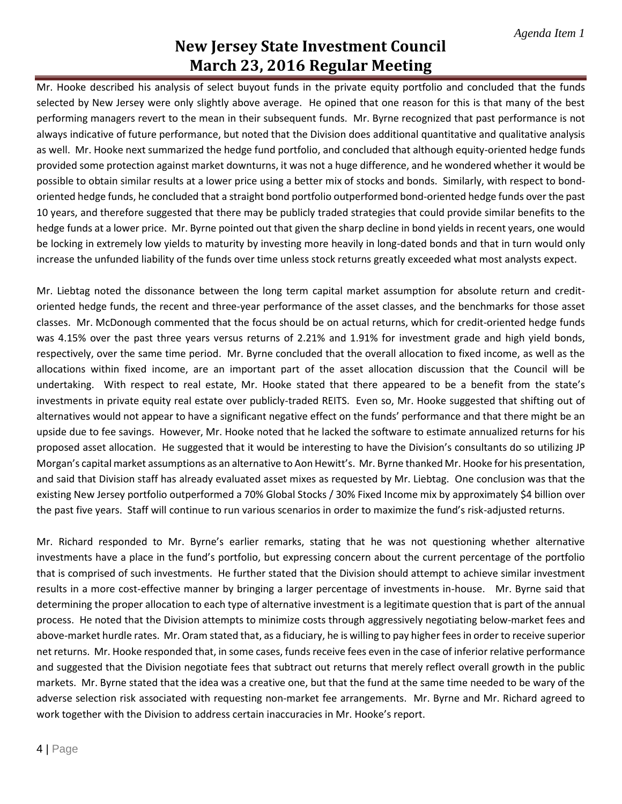Mr. Hooke described his analysis of select buyout funds in the private equity portfolio and concluded that the funds selected by New Jersey were only slightly above average. He opined that one reason for this is that many of the best performing managers revert to the mean in their subsequent funds. Mr. Byrne recognized that past performance is not always indicative of future performance, but noted that the Division does additional quantitative and qualitative analysis as well. Mr. Hooke next summarized the hedge fund portfolio, and concluded that although equity-oriented hedge funds provided some protection against market downturns, it was not a huge difference, and he wondered whether it would be possible to obtain similar results at a lower price using a better mix of stocks and bonds. Similarly, with respect to bondoriented hedge funds, he concluded that a straight bond portfolio outperformed bond-oriented hedge funds over the past 10 years, and therefore suggested that there may be publicly traded strategies that could provide similar benefits to the hedge funds at a lower price. Mr. Byrne pointed out that given the sharp decline in bond yields in recent years, one would be locking in extremely low yields to maturity by investing more heavily in long-dated bonds and that in turn would only increase the unfunded liability of the funds over time unless stock returns greatly exceeded what most analysts expect.

Mr. Liebtag noted the dissonance between the long term capital market assumption for absolute return and creditoriented hedge funds, the recent and three-year performance of the asset classes, and the benchmarks for those asset classes. Mr. McDonough commented that the focus should be on actual returns, which for credit-oriented hedge funds was 4.15% over the past three years versus returns of 2.21% and 1.91% for investment grade and high yield bonds, respectively, over the same time period. Mr. Byrne concluded that the overall allocation to fixed income, as well as the allocations within fixed income, are an important part of the asset allocation discussion that the Council will be undertaking. With respect to real estate, Mr. Hooke stated that there appeared to be a benefit from the state's investments in private equity real estate over publicly-traded REITS. Even so, Mr. Hooke suggested that shifting out of alternatives would not appear to have a significant negative effect on the funds' performance and that there might be an upside due to fee savings. However, Mr. Hooke noted that he lacked the software to estimate annualized returns for his proposed asset allocation. He suggested that it would be interesting to have the Division's consultants do so utilizing JP Morgan's capital market assumptions as an alternative to Aon Hewitt's. Mr. Byrne thanked Mr. Hooke for his presentation, and said that Division staff has already evaluated asset mixes as requested by Mr. Liebtag. One conclusion was that the existing New Jersey portfolio outperformed a 70% Global Stocks / 30% Fixed Income mix by approximately \$4 billion over the past five years. Staff will continue to run various scenarios in order to maximize the fund's risk-adjusted returns.

Mr. Richard responded to Mr. Byrne's earlier remarks, stating that he was not questioning whether alternative investments have a place in the fund's portfolio, but expressing concern about the current percentage of the portfolio that is comprised of such investments. He further stated that the Division should attempt to achieve similar investment results in a more cost-effective manner by bringing a larger percentage of investments in-house. Mr. Byrne said that determining the proper allocation to each type of alternative investment is a legitimate question that is part of the annual process. He noted that the Division attempts to minimize costs through aggressively negotiating below-market fees and above-market hurdle rates. Mr. Oram stated that, as a fiduciary, he is willing to pay higher fees in order to receive superior net returns. Mr. Hooke responded that, in some cases, funds receive fees even in the case of inferior relative performance and suggested that the Division negotiate fees that subtract out returns that merely reflect overall growth in the public markets. Mr. Byrne stated that the idea was a creative one, but that the fund at the same time needed to be wary of the adverse selection risk associated with requesting non-market fee arrangements. Mr. Byrne and Mr. Richard agreed to work together with the Division to address certain inaccuracies in Mr. Hooke's report.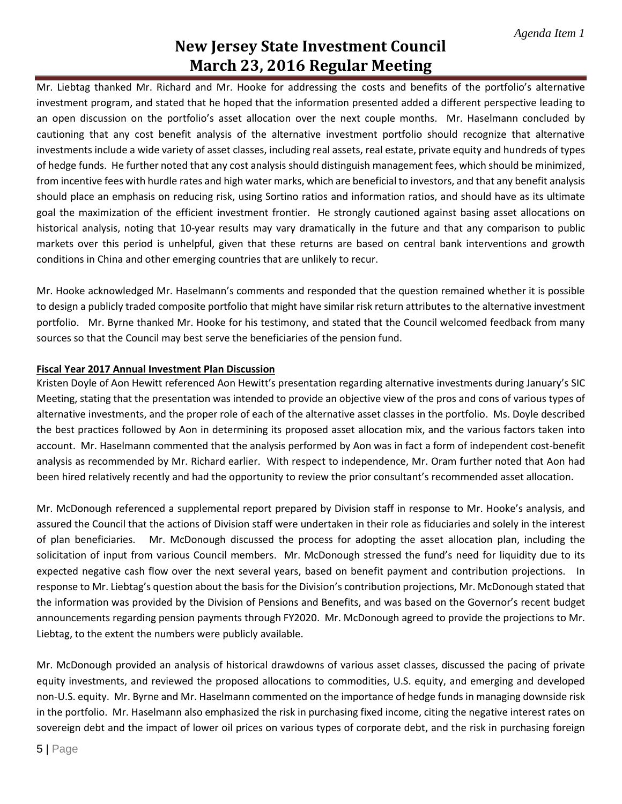Mr. Liebtag thanked Mr. Richard and Mr. Hooke for addressing the costs and benefits of the portfolio's alternative investment program, and stated that he hoped that the information presented added a different perspective leading to an open discussion on the portfolio's asset allocation over the next couple months. Mr. Haselmann concluded by cautioning that any cost benefit analysis of the alternative investment portfolio should recognize that alternative investments include a wide variety of asset classes, including real assets, real estate, private equity and hundreds of types of hedge funds. He further noted that any cost analysis should distinguish management fees, which should be minimized, from incentive fees with hurdle rates and high water marks, which are beneficial to investors, and that any benefit analysis should place an emphasis on reducing risk, using Sortino ratios and information ratios, and should have as its ultimate goal the maximization of the efficient investment frontier. He strongly cautioned against basing asset allocations on historical analysis, noting that 10-year results may vary dramatically in the future and that any comparison to public markets over this period is unhelpful, given that these returns are based on central bank interventions and growth conditions in China and other emerging countries that are unlikely to recur.

Mr. Hooke acknowledged Mr. Haselmann's comments and responded that the question remained whether it is possible to design a publicly traded composite portfolio that might have similar risk return attributes to the alternative investment portfolio. Mr. Byrne thanked Mr. Hooke for his testimony, and stated that the Council welcomed feedback from many sources so that the Council may best serve the beneficiaries of the pension fund.

## **Fiscal Year 2017 Annual Investment Plan Discussion**

Kristen Doyle of Aon Hewitt referenced Aon Hewitt's presentation regarding alternative investments during January's SIC Meeting, stating that the presentation was intended to provide an objective view of the pros and cons of various types of alternative investments, and the proper role of each of the alternative asset classes in the portfolio. Ms. Doyle described the best practices followed by Aon in determining its proposed asset allocation mix, and the various factors taken into account. Mr. Haselmann commented that the analysis performed by Aon was in fact a form of independent cost-benefit analysis as recommended by Mr. Richard earlier. With respect to independence, Mr. Oram further noted that Aon had been hired relatively recently and had the opportunity to review the prior consultant's recommended asset allocation.

Mr. McDonough referenced a supplemental report prepared by Division staff in response to Mr. Hooke's analysis, and assured the Council that the actions of Division staff were undertaken in their role as fiduciaries and solely in the interest of plan beneficiaries. Mr. McDonough discussed the process for adopting the asset allocation plan, including the solicitation of input from various Council members. Mr. McDonough stressed the fund's need for liquidity due to its expected negative cash flow over the next several years, based on benefit payment and contribution projections. In response to Mr. Liebtag's question about the basis for the Division's contribution projections, Mr. McDonough stated that the information was provided by the Division of Pensions and Benefits, and was based on the Governor's recent budget announcements regarding pension payments through FY2020. Mr. McDonough agreed to provide the projections to Mr. Liebtag, to the extent the numbers were publicly available.

Mr. McDonough provided an analysis of historical drawdowns of various asset classes, discussed the pacing of private equity investments, and reviewed the proposed allocations to commodities, U.S. equity, and emerging and developed non-U.S. equity. Mr. Byrne and Mr. Haselmann commented on the importance of hedge funds in managing downside risk in the portfolio. Mr. Haselmann also emphasized the risk in purchasing fixed income, citing the negative interest rates on sovereign debt and the impact of lower oil prices on various types of corporate debt, and the risk in purchasing foreign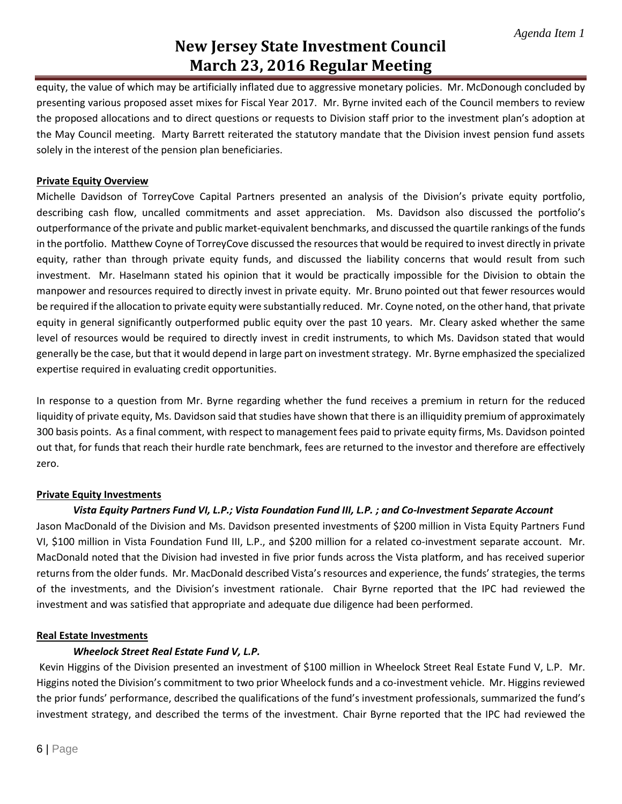equity, the value of which may be artificially inflated due to aggressive monetary policies. Mr. McDonough concluded by presenting various proposed asset mixes for Fiscal Year 2017. Mr. Byrne invited each of the Council members to review the proposed allocations and to direct questions or requests to Division staff prior to the investment plan's adoption at the May Council meeting. Marty Barrett reiterated the statutory mandate that the Division invest pension fund assets solely in the interest of the pension plan beneficiaries.

## **Private Equity Overview**

Michelle Davidson of TorreyCove Capital Partners presented an analysis of the Division's private equity portfolio, describing cash flow, uncalled commitments and asset appreciation. Ms. Davidson also discussed the portfolio's outperformance of the private and public market-equivalent benchmarks, and discussed the quartile rankings of the funds in the portfolio. Matthew Coyne of TorreyCove discussed the resources that would be required to invest directly in private equity, rather than through private equity funds, and discussed the liability concerns that would result from such investment. Mr. Haselmann stated his opinion that it would be practically impossible for the Division to obtain the manpower and resources required to directly invest in private equity. Mr. Bruno pointed out that fewer resources would be required if the allocation to private equity were substantially reduced. Mr. Coyne noted, on the other hand, that private equity in general significantly outperformed public equity over the past 10 years. Mr. Cleary asked whether the same level of resources would be required to directly invest in credit instruments, to which Ms. Davidson stated that would generally be the case, but that it would depend in large part on investment strategy. Mr. Byrne emphasized the specialized expertise required in evaluating credit opportunities.

In response to a question from Mr. Byrne regarding whether the fund receives a premium in return for the reduced liquidity of private equity, Ms. Davidson said that studies have shown that there is an illiquidity premium of approximately 300 basis points. As a final comment, with respect to management fees paid to private equity firms, Ms. Davidson pointed out that, for funds that reach their hurdle rate benchmark, fees are returned to the investor and therefore are effectively zero.

## **Private Equity Investments**

## *Vista Equity Partners Fund VI, L.P.; Vista Foundation Fund III, L.P. ; and Co-Investment Separate Account*

Jason MacDonald of the Division and Ms. Davidson presented investments of \$200 million in Vista Equity Partners Fund VI, \$100 million in Vista Foundation Fund III, L.P., and \$200 million for a related co-investment separate account. Mr. MacDonald noted that the Division had invested in five prior funds across the Vista platform, and has received superior returns from the older funds. Mr. MacDonald described Vista's resources and experience, the funds' strategies, the terms of the investments, and the Division's investment rationale. Chair Byrne reported that the IPC had reviewed the investment and was satisfied that appropriate and adequate due diligence had been performed.

## **Real Estate Investments**

## *Wheelock Street Real Estate Fund V, L.P.*

Kevin Higgins of the Division presented an investment of \$100 million in Wheelock Street Real Estate Fund V, L.P. Mr. Higgins noted the Division's commitment to two prior Wheelock funds and a co-investment vehicle. Mr. Higgins reviewed the prior funds' performance, described the qualifications of the fund's investment professionals, summarized the fund's investment strategy, and described the terms of the investment. Chair Byrne reported that the IPC had reviewed the